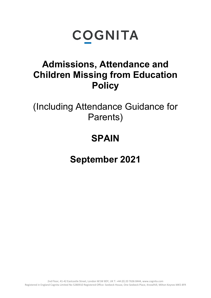# **COGNITA**

### **Admissions, Attendance and Children Missing from Education Policy**

(Including Attendance Guidance for Parents)

# **SPAIN**

## **September 2021**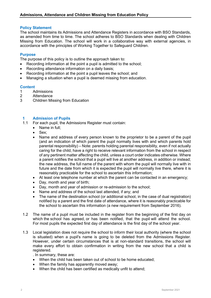#### **Policy Statement**

The school maintains its Admissions and Attendance Registers in accordance with BSO Standards, as amended from time to time. The school adheres to BSO Standards when dealing with Children Missing from Education. The school will work in a collaborative way with external agencies, in accordance with the principles of Working Together to Safeguard Children.

#### **Purpose**

The purpose of this policy is to outline the approach taken to:

- Recording information at the point a pupil is admitted to the school;
- Recording attendance information on a daily basis;
- Recording information at the point a pupil leaves the school; and
- Managing a situation when a pupil is deemed missing from education.

#### **Content**

- 1 Admissions<br>2 Attendance
- **Attendance**
- 3 Children Missing from Education

### **1 Admission of Pupils**

- For each pupil, the Admissions Register must contain:
	- Name in full:
		- Sex;
		- Name and address of every person known to the proprietor to be a parent of the pupil (and an indication of which parent the pupil normally lives with and which parents hold parental responsibility) – Note: parents holding parental responsibility, even if not actually caring for the child, have a right to receive relevant information from the school in respect of any pertinent matter affecting the child, unless a court order indicates otherwise. Where a parent notifies the school that a pupil will live at another address, in addition or instead; the new address, the full name of the parent with whom the pupil will normally live with in future and the date from which it is expected the pupil will normally live there, where it is reasonably practicable for the school to ascertain this information;
	- At least one telephone number at which the parent can be contacted in an emergency;
	- Day, month and year of birth;
	- Day, month and year of admission or re-admission to the school;
	- Name and address of the school last attended, if any; and
	- The name of the destination school (or additional school, in the case of dual registration) notified by a parent and the first date of attendance, where it is reasonably practicable for the school to ascertain this information (a new requirement from September 2016).
- 1.2 The name of a pupil must be included in the register from the beginning of the first day on which the school has agreed, or has been notified, that the pupil will attend the school. For most pupils the expected first day of attendance is the first day of the school year.
- 1.3 Local legislation does not require the school to inform their local authority (where the school is situated) when a pupil's name is going to be deleted from the Admissions Register. However, under certain circumstances that is at non-standard transitions, the school will make every effort to obtain confirmation in writing from the new school that a child is registered.

. In summary, these are:

- When the child has been taken out of school to be home educated;
- When the family has apparently moved away;
- When the child has been certified as medically unfit to attend;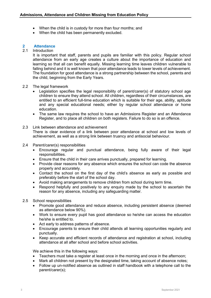- When the child is in custody for more than four months; and
- When the child has been permanently excluded.

### **2 Attendance**

#### **Introduction**

It is important that staff, parents and pupils are familiar with this policy. Regular school attendance from an early age creates a culture about the importance of education and learning so that all can benefit equally. Missing learning time leaves children vulnerable to falling behind and it is well known that poor attendance leads to lower levels of achievement. The foundation for good attendance is a strong partnership between the school, parents and the child, beginning from the Early Years.

#### 2.2 The legal framework

- Legislation specifies the legal responsibility of parent/carer(s) of statutory school age children to ensure they attend school. All children, regardless of their circumstances, are entitled to an efficient full-time education which is suitable for their age, ability, aptitude and any special educational needs; either by regular school attendance or home education.
- The same law requires the school to have an Admissions Register and an Attendance Register, and to place all children on both registers. Failure to do so is an offence.

#### 2.3 Link between attendance and achievement

There is clear evidence of a link between poor attendance at school and low levels of achievement, as well as a strong link between truancy and antisocial behaviour.

#### 2.4 Parent/carer(s) responsibilities

- Encourage regular and punctual attendance, being fully aware of their legal responsibilities.
- Ensure that the child in their care arrives punctually, prepared for learning.
- Provide clear reasons for any absence which ensures the school can code the absence properly and accurately.
- Contact the school on the first day of the child's absence as early as possible and preferably before the start of the school day.
- Avoid making arrangements to remove children from school during term time.
- Respond helpfully and positively to any enquiry made by the school to ascertain the reason for any absence, including any safeguarding matter.

#### 2.5 School responsibilities

- Promote good attendance and reduce absence, including persistent absence (deemed as attendance below 90%).
- Work to ensure every pupil has good attendance so he/she can access the education he/she is entitled to.
- Act early to address patterns of absence.
- Encourage parents to ensure their child attends all learning opportunities regularly and punctually.
- Keep accurate and efficient records of attendance and registration at school, including attendance at all after school and before school activities.

We achieve this in the following ways:

- Teachers must take a register at least once in the morning and once in the afternoon;
- Mark all children not present by the designated time, taking account of absence notes;
- Follow up un-notified absence as outlined in staff handbook with a telephone call to the parent/carer(s);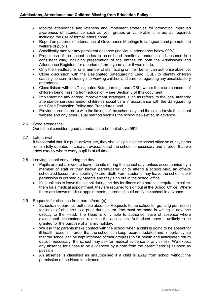- Monitor attendance and lateness and implement strategies for promoting improved awareness of attendance such as year groups or vulnerable children, as required, including the use of formal letters home;
- Report on patterns of attendance at Governance Meetings to safeguard and promote the welfare of pupils;
- Specifically monitor any persistent absence (individual attendance below 90%);
- Proper use of the school codes to record and monitor attendance and absence in a consistent way, including preservation of the entries on both the Admissions and Attendance Registers for a period of three years after it was made;
- Only the Headteacher or a member of staff acting on their behalf can authorise absence;
- Close discussion with the Designated Safeguarding Lead (DSL) to identify children causing concern, including interviewing children and parents regarding any unsatisfactory attendance;
- Close liaison with the Designated Safeguarding Lead (DSL) where there are concerns of children being missing from education – see Section 3 of this document;
- Implementing any agreed improvement strategies, such as referral to the local authority attendance services and/or children's social care in accordance with the Safeguarding and Child Protection Policy and Procedures; and
- Provide parent/carer(s) with the timings of the school day and the calendar via the school website and any other usual method such as the school newsletter, in advance.

#### 2.6 Good attendance

Our school considers good attendance to be that above 96%.

#### 2.7 Late arrival

It is essential that, if a pupil arrives late, they should sign in at the school office so our systems remain fully updated in case an evacuation of the school is necessary and in order that we know exactly where every pupil is at all times.

- 2.8 Leaving school early during the day
	- Pupils are not allowed to leave the site during the school day, unless accompanied by a member of staff or their known parent/carer; or to attend a school visit, an off-site scheduled lesson, or a sporting fixture. Sixth Form students may leave the school site if permission is granted by parents and they sign out in the school office.
	- If a pupil has to leave the school during the day for illness or a parent is required to collect them for a medical appointment, they are required to sign out at the School Office. Where there are known medical appointments, parents should notify the school in advance.

#### 2.9 Requests for absence from parent/carer(s)

- Schools, not parents, authorise absence. Requests to the school for granting permission for leave of absence to a pupil during term time must be made in writing in advance directly to the Head. The Head is only able to authorise leave of absence where exceptional circumstances relate to the application. Authorised leave is unlikely to be granted for the purpose of a family holiday.
- We ask that parents make contact with the school when a child is going to be absent for ill health reasons in order that the school can keep records updated and, importantly, so that the school can be kept informed of their progress to full health and anticipated return date. If necessary, the school may ask for medical evidence of any illness. We expect any absence for illness to be evidenced by a note from the parent/carer(s) as soon as possible.
- An absence is classified as unauthorised if a child is away from school without the permission of the Head in advance.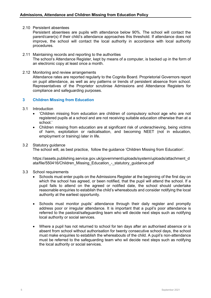#### 2.10 Persistent absentees

Persistent absentees are pupils with attendance below 90%. The school will contact the parent/carer(s) if their child's attendance approaches this threshold. If attendance does not improve, the school will contact the local authority in accordance with local authority procedures.

- 2.11 Maintaining records and reporting to the authorities The school's Attendance Register, kept by means of a computer, is backed up in the form of an electronic copy at least once a month.
- 2.12 Monitoring and review arrangements Attendance rates are reported regularly to the Cognita Board. Proprietorial Governors report on pupil attendance, as well as any patterns or trends of persistent absence from school. Representatives of the Proprietor scrutinise Admissions and Attendance Registers for compliance and safeguarding purposes.

#### **3 Children Missing from Education**

- 3.1 Introduction
	- 'Children missing from education are children of compulsory school age who are not registered pupils at a school and are not receiving suitable education otherwise than at a school.'
	- Children missing from education are at significant risk of underachieving, being victims of harm, exploitation or radicalisation, and becoming NEET (not in education, employment or training) later in life.

#### 3.2 Statutory guidance

The school will, as best practice, follow the guidance 'Children Missing from Education'.

https://assets.publishing.service.gov.uk/government/uploads/system/uploads/attachment\_d ata/file/550416/Children\_Missing\_Education - statutory\_guidance.pdf

- 3.3 School requirements
	- Schools must enter pupils on the Admissions Register at the beginning of the first day on which the school has agreed, or been notified, that the pupil will attend the school. If a pupil fails to attend on the agreed or notified date, the school should undertake reasonable enquiries to establish the child's whereabouts and consider notifying the local authority at the earliest opportunity.
	- Schools must monitor pupils' attendance through their daily register and promptly address poor or irregular attendance. It is important that a pupil's poor attendance is referred to the pastoral/safeguarding team who will decide next steps such as notifying local authority or social services.
	- Where a pupil has not returned to school for ten days after an authorised absence or is absent from school without authorisation for twenty consecutive school days, the school must make enquiries to establish the whereabouts of the child. A pupil's non-attendance must be referred to the safeguarding team who wil decide next steps such as notifying the local authority or social services.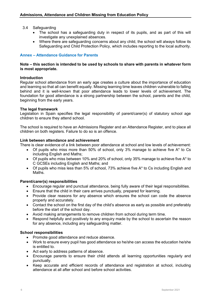#### 3.4 Safeguarding

- The school has a safeguarding duty in respect of its pupils, and as part of this will investigate any unexplained absences.
- Where there are safeguarding concerns about any child, the school will always follow its Safeguarding and Child Protection Policy, which includes reporting to the local authority.

#### **Annex – Attendance Guidance for Parents**

#### **Note – this section is intended to be used by schools to share with parents in whatever form is most appropriate.**

#### **Introduction**

Regular school attendance from an early age creates a culture about the importance of education and learning so that all can benefit equally. Missing learning time leaves children vulnerable to falling behind and it is well-known that poor attendance leads to lower levels of achievement. The foundation for good attendance is a strong partnership between the school, parents and the child, beginning from the early years.

#### **The legal framework**

Legislation in Spain specifies the legal responsibility of parent/carer(s) of statutory school age children to ensure they attend school.

The school is required to have an Admissions Register and an Attendance Register, and to place all children on both registers. Failure to do so is an offence.

#### **Link between attendance and achievement**

There is clear evidence of a link between poor attendance at school and low levels of achievement:

- Of pupils who miss more than 50% of school, only 3% manage to achieve five A\* to Cs including English and Maths;
- Of pupils who miss between 10% and 20% of school, only 35% manage to achieve five A\* to C GCSEs including English and Maths; and
- Of pupils who miss less than 5% of school, 73% achieve five A\* to Cs including English and Maths.

#### **Parent/carer(s) responsibilities**

- Encourage regular and punctual attendance, being fully aware of their legal responsibilities.
- Ensure that the child in their care arrives punctually, prepared for learning.
- Provide clear reasons for any absence which ensures the school can code the absence properly and accurately.
- Contact the school on the first day of the child's absence as early as possible and preferably before the start of the school day.
- Avoid making arrangements to remove children from school during term time.
- Respond helpfully and positively to any enquiry made by the school to ascertain the reason for any absence, including any safeguarding matter.

#### **School responsibilities**

- Promote good attendance and reduce absence.
- Work to ensure every pupil has good attendance so he/she can access the education he/she is entitled to.
- Act early to address patterns of absence.
- Encourage parents to ensure their child attends all learning opportunities regularly and punctually.
- Keep accurate and efficient records of attendance and registration at school, including attendance at all after school and before school activities.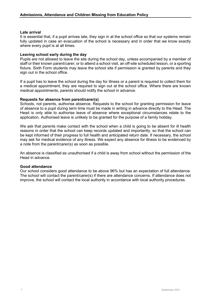#### **Late arrival**

It is essential that, if a pupil arrives late, they sign in at the school office so that our systems remain fully updated in case an evacuation of the school is necessary and in order that we know exactly where every pupil is at all times.

#### **Leaving school early during the day**

Pupils are not allowed to leave the site during the school day, unless accompanied by a member of staff or their known parent/carer; or to attend a school visit, an off-site scheduled lesson, or a sporting fixture. Sixth Form students may leave the school site if permission is granted by parents and they sign out in the school office.

If a pupil has to leave the school during the day for illness or a parent is required to collect them for a medical appointment, they are required to sign out at the school office. Where there are known medical appointments, parents should notify the school in advance.

#### **Requests for absence from parent/carer(s)**

Schools, not parents, authorise absence. Requests to the school for granting permission for leave of absence to a pupil during term time must be made in writing in advance directly to the Head. The Head is only able to authorise leave of absence where exceptional circumstances relate to the application. Authorised leave is unlikely to be granted for the purpose of a family holiday.

We ask that parents make contact with the school when a child is going to be absent for ill health reasons in order that the school can keep records updated and importantly, so that the school can be kept informed of their progress to full health and anticipated return date. If necessary, the school may ask for medical evidence of any illness. We expect any absence for illness to be evidenced by a note from the parent/carer(s) as soon as possible.

An absence is classified as unauthorised if a child is away from school without the permission of the Head in advance.

#### **Good attendance**

Our school considers good attendance to be above 96% but has an expectation of full attendance. The school will contact the parent/carer(s) if there are attendance concerns. If attendance does not improve, the school will contact the local authority in accordance with local authority procedures.